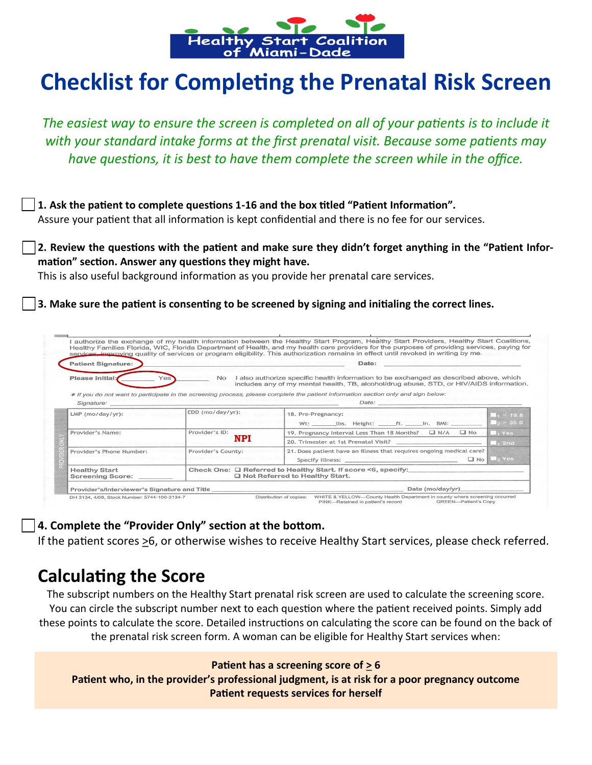

# **Checklist for Completing the Prenatal Risk Screen**

*The easiest way to ensure the screen is completed on all of your patients is to include it with your standard intake forms at the first prenatal visit. Because some patients may have questions, it is best to have them complete the screen while in the office.*

**1. Ask the patient to complete questions 1-16 and the box titled "Patient Information".** Assure your patient that all information is kept confidential and there is no fee for our services.

**2. Review the questions with the patient and make sure they didn't forget anything in the "Patient Information" section. Answer any questions they might have.**

This is also useful background information as you provide her prenatal care services.

**3. Make sure the patient is consenting to be screened by signing and initialing the correct lines.**

| <b>Patient Signature:</b> | Date:                        |                                                                                                                                                                                   |                                                    |  |
|---------------------------|------------------------------|-----------------------------------------------------------------------------------------------------------------------------------------------------------------------------------|----------------------------------------------------|--|
| Please initial:           | Yes<br><b>No</b>             | I also authorize specific health information to be exchanged as described above, which<br>includes any of my mental health, TB, alcohol/drug abuse, STD, or HIV/AIDS information. |                                                    |  |
| Signature:                |                              | * If you do not want to participate in the screening process, please complete the patient information section only and sign below:                                                |                                                    |  |
| $LMP$ (mo/day/yr):        | EDD (mo/day/yr):             | 18. Pre-Pregnancy:                                                                                                                                                                | $\blacksquare$ , < 19.8<br>$\blacksquare_2$ > 35.0 |  |
| Provider's Name:          | Provider's ID:<br><b>NPI</b> | 19. Pregnancy Interval Less Than 18 Months? □ N/A □ No                                                                                                                            | $\blacksquare_1$ Yes                               |  |
|                           |                              |                                                                                                                                                                                   | $\blacksquare_1$ 2nd                               |  |
| Provider's Phone Number:  | Provider's County:           | 21. Does patient have an illness that requires ongoing medical care?<br>Specify illness: <b>Specify illness:</b>                                                                  | No 2 Yes                                           |  |
| <b>Healthy Start</b>      |                              | Check One: □ Referred to Healthy Start. If score <6, specify:<br>□ Not Referred to Healthy Start.                                                                                 |                                                    |  |

**4. Complete the "Provider Only" section at the bottom.**

If the patient scores  $\geq 6$ , or otherwise wishes to receive Healthy Start services, please check referred.

# **Calculating the Score**

The subscript numbers on the Healthy Start prenatal risk screen are used to calculate the screening score. You can circle the subscript number next to each question where the patient received points. Simply add these points to calculate the score. Detailed instructions on calculating the score can be found on the back of the prenatal risk screen form. A woman can be eligible for Healthy Start services when:

**Patient has a screening score of > 6**

**Patient who, in the provider's professional judgment, is at risk for a poor pregnancy outcome Patient requests services for herself**